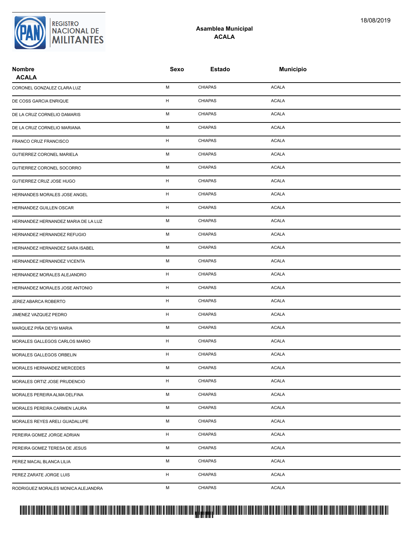

## **Asamblea Municipal ACALA**

| <b>Nombre</b><br><b>ACALA</b>       | Sexo | <b>Estado</b>  | <b>Municipio</b> |  |
|-------------------------------------|------|----------------|------------------|--|
| CORONEL GONZALEZ CLARA LUZ          | M    | <b>CHIAPAS</b> | <b>ACALA</b>     |  |
| DE COSS GARCIA ENRIQUE              | H    | <b>CHIAPAS</b> | <b>ACALA</b>     |  |
| DE LA CRUZ CORNELIO DAMARIS         | М    | <b>CHIAPAS</b> | <b>ACALA</b>     |  |
| DE LA CRUZ CORNELIO MARIANA         | М    | <b>CHIAPAS</b> | <b>ACALA</b>     |  |
| FRANCO CRUZ FRANCISCO               | H    | <b>CHIAPAS</b> | <b>ACALA</b>     |  |
| <b>GUTIERREZ CORONEL MARIELA</b>    | М    | <b>CHIAPAS</b> | <b>ACALA</b>     |  |
| GUTIERREZ CORONEL SOCORRO           | М    | <b>CHIAPAS</b> | <b>ACALA</b>     |  |
| GUTIERREZ CRUZ JOSE HUGO            | н    | <b>CHIAPAS</b> | <b>ACALA</b>     |  |
| HERNANDES MORALES JOSE ANGEL        | H    | <b>CHIAPAS</b> | <b>ACALA</b>     |  |
| HERNANDEZ GUILLEN OSCAR             | H    | <b>CHIAPAS</b> | <b>ACALA</b>     |  |
| HERNANDEZ HERNANDEZ MARIA DE LA LUZ | M    | <b>CHIAPAS</b> | <b>ACALA</b>     |  |
| HERNANDEZ HERNANDEZ REFUGIO         | М    | <b>CHIAPAS</b> | <b>ACALA</b>     |  |
| HERNANDEZ HERNANDEZ SARA ISABEL     | М    | <b>CHIAPAS</b> | <b>ACALA</b>     |  |
| HERNANDEZ HERNANDEZ VICENTA         | М    | <b>CHIAPAS</b> | <b>ACALA</b>     |  |
| HERNANDEZ MORALES ALEJANDRO         | H    | <b>CHIAPAS</b> | <b>ACALA</b>     |  |
| HERNANDEZ MORALES JOSE ANTONIO      | H    | <b>CHIAPAS</b> | <b>ACALA</b>     |  |
| JEREZ ABARCA ROBERTO                | H    | <b>CHIAPAS</b> | <b>ACALA</b>     |  |
| JIMENEZ VAZQUEZ PEDRO               | H    | <b>CHIAPAS</b> | <b>ACALA</b>     |  |
| MARQUEZ PIÑA DEYSI MARIA            | М    | <b>CHIAPAS</b> | <b>ACALA</b>     |  |
| MORALES GALLEGOS CARLOS MARIO       | H    | <b>CHIAPAS</b> | <b>ACALA</b>     |  |
| MORALES GALLEGOS ORBELIN            | H    | <b>CHIAPAS</b> | <b>ACALA</b>     |  |
| MORALES HERNANDEZ MERCEDES          | М    | <b>CHIAPAS</b> | <b>ACALA</b>     |  |
| MORALES ORTIZ JOSE PRUDENCIO        | H    | <b>CHIAPAS</b> | <b>ACALA</b>     |  |
| MORALES PEREIRA ALMA DELFINA        | М    | <b>CHIAPAS</b> | <b>ACALA</b>     |  |
| MORALES PEREIRA CARMEN LAURA        | М    | <b>CHIAPAS</b> | <b>ACALA</b>     |  |
| MORALES REYES ARELI GUADALUPE       | М    | <b>CHIAPAS</b> | <b>ACALA</b>     |  |
| PEREIRA GOMEZ JORGE ADRIAN          | H    | <b>CHIAPAS</b> | <b>ACALA</b>     |  |
| PEREIRA GOMEZ TERESA DE JESUS       | М    | <b>CHIAPAS</b> | <b>ACALA</b>     |  |
| PEREZ MACAL BLANCA LILIA            | М    | <b>CHIAPAS</b> | <b>ACALA</b>     |  |
| PEREZ ZARATE JORGE LUIS             | H    | <b>CHIAPAS</b> | <b>ACALA</b>     |  |
| RODRIGUEZ MORALES MONICA ALEJANDRA  | М    | <b>CHIAPAS</b> | <b>ACALA</b>     |  |

## PROTUCCION SU REGION DA SU REGIONAL DE LA SULTA SU REGIONAL DE MILITANTES CONTRADO NACIONAL DE MILITANTES CONTRADO N <mark>. Pangyakan k</mark>